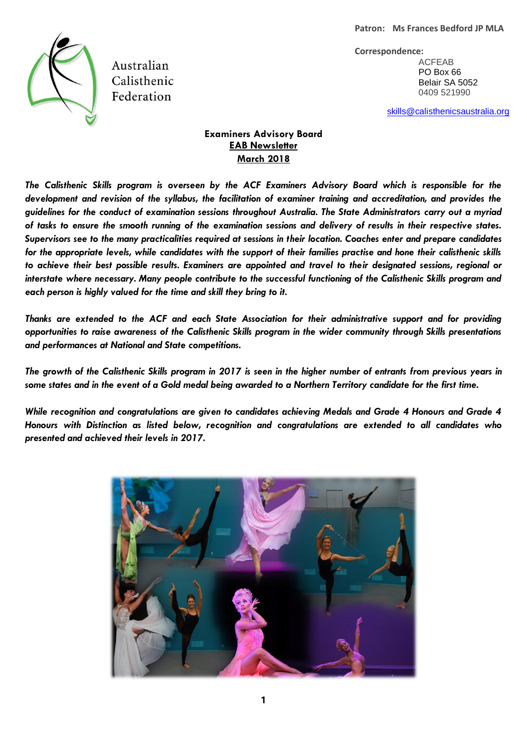

Australian Calisthenic Federation

**Correspondence:** ACFEAB PO Box 66 Belair SA 5052 0409 521990

[skills@calisthenicsaustralia.org](mailto:skills@calisthenicsaustralia.org)

# **Examiners Advisory Board EAB Newsletter March 2018**

*The Calisthenic Skills program is overseen by the ACF Examiners Advisory Board which is responsible for the development and revision of the syllabus, the facilitation of examiner training and accreditation, and provides the guidelines for the conduct of examination sessions throughout Australia. The State Administrators carry out a myriad of tasks to ensure the smooth running of the examination sessions and delivery of results in their respective states. Supervisors see to the many practicalities required at sessions in their location. Coaches enter and prepare candidates for the appropriate levels, while candidates with the support of their families practise and hone their calisthenic skills to achieve their best possible results. Examiners are appointed and travel to their designated sessions, regional or interstate where necessary. Many people contribute to the successful functioning of the Calisthenic Skills program and each person is highly valued for the time and skill they bring to it.* 

*Thanks are extended to the ACF and each State Association for their administrative support and for providing opportunities to raise awareness of the Calisthenic Skills program in the wider community through Skills presentations and performances at National and State competitions.*

*The growth of the Calisthenic Skills program in 2017 is seen in the higher number of entrants from previous years in some states and in the event of a Gold medal being awarded to a Northern Territory candidate for the first time.* 

*While recognition and congratulations are given to candidates achieving Medals and Grade 4 Honours and Grade 4 Honours with Distinction as listed below, recognition and congratulations are extended to all candidates who presented and achieved their levels in 2017.* 

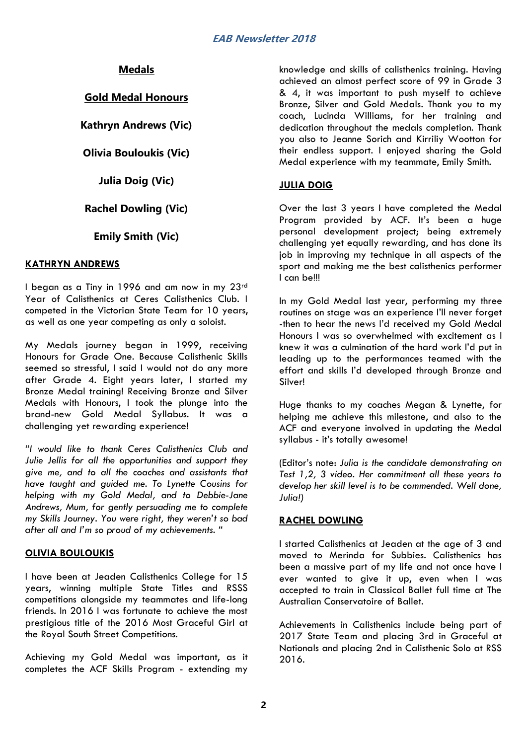# **Medals**

## **Gold Medal Honours**

**Kathryn Andrews (Vic)**

## **Olivia Bouloukis (Vic)**

**Julia Doig (Vic)**

# **Rachel Dowling (Vic)**

# **Emily Smith (Vic)**

### **KATHRYN ANDREWS**

I began as a Tiny in 1996 and am now in my 23rd Year of Calisthenics at Ceres Calisthenics Club. I competed in the Victorian State Team for 10 years, as well as one year competing as only a soloist.

My Medals journey began in 1999, receiving Honours for Grade One. Because Calisthenic Skills seemed so stressful, I said I would not do any more after Grade 4. Eight years later, I started my Bronze Medal training! Receiving Bronze and Silver Medals with Honours, I took the plunge into the brand-new Gold Medal Syllabus. It was a challenging yet rewarding experience!

*"I would like to thank Ceres Calisthenics Club and Julie Jellis for all the opportunities and support they give me, and to all the coaches and assistants that have taught and guided me. To Lynette Cousins for helping with my Gold Medal, and to Debbie-Jane Andrews, Mum, for gently persuading me to complete my Skills Journey. You were right, they weren't so bad after all and I'm so proud of my achievements. "*

### **OLIVIA BOULOUKIS**

I have been at Jeaden Calisthenics College for 15 years, winning multiple State Titles and RSSS competitions alongside my teammates and life-long friends. In 2016 I was fortunate to achieve the most prestigious title of the 2016 Most Graceful Girl at the Royal South Street Competitions.

Achieving my Gold Medal was important, as it completes the ACF Skills Program - extending my

knowledge and skills of calisthenics training. Having achieved an almost perfect score of 99 in Grade 3 & 4, it was important to push myself to achieve Bronze, Silver and Gold Medals. Thank you to my coach, Lucinda Williams, for her training and dedication throughout the medals completion. Thank you also to Jeanne Sorich and Kirriliy Wootton for their endless support. I enjoyed sharing the Gold Medal experience with my teammate, Emily Smith.

### **JULIA DOIG**

Over the last 3 years I have completed the Medal Program provided by ACF. It's been a huge personal development project; being extremely challenging yet equally rewarding, and has done its job in improving my technique in all aspects of the sport and making me the best calisthenics performer I can be!!!

In my Gold Medal last year, performing my three routines on stage was an experience I'll never forget -then to hear the news I'd received my Gold Medal Honours I was so overwhelmed with excitement as I knew it was a culmination of the hard work I'd put in leading up to the performances teamed with the effort and skills I'd developed through Bronze and Silver!

Huge thanks to my coaches Megan & Lynette, for helping me achieve this milestone, and also to the ACF and everyone involved in updating the Medal syllabus - it's totally awesome!

(Editor's note: *Julia is the candidate demonstrating on Test 1,2, 3 video. Her commitment all these years to develop her skill level is to be commended. Well done, Julia!)*

## **RACHEL DOWLING**

I started Calisthenics at Jeaden at the age of 3 and moved to Merinda for Subbies. Calisthenics has been a massive part of my life and not once have I ever wanted to give it up, even when I was accepted to train in Classical Ballet full time at The Australian Conservatoire of Ballet.

Achievements in Calisthenics include being part of 2017 State Team and placing 3rd in Graceful at Nationals and placing 2nd in Calisthenic Solo at RSS 2016.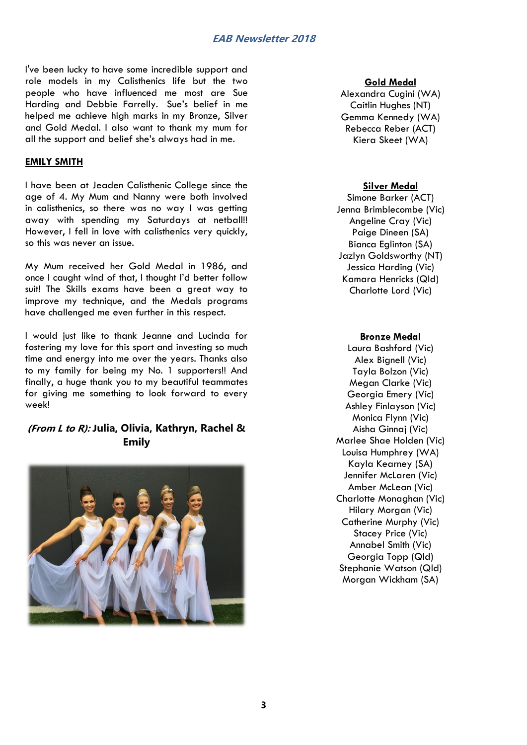## **EAB Newsletter 2018**

I've been lucky to have some incredible support and role models in my Calisthenics life but the two people who have influenced me most are Sue Harding and Debbie Farrelly. Sue's belief in me helped me achieve high marks in my Bronze, Silver and Gold Medal. I also want to thank my mum for all the support and belief she's always had in me.

### **EMILY SMITH**

I have been at Jeaden Calisthenic College since the age of 4. My Mum and Nanny were both involved in calisthenics, so there was no way I was getting away with spending my Saturdays at netball!! However, I fell in love with calisthenics very quickly, so this was never an issue.

My Mum received her Gold Medal in 1986, and once I caught wind of that, I thought I'd better follow suit! The Skills exams have been a great way to improve my technique, and the Medals programs have challenged me even further in this respect.

I would just like to thank Jeanne and Lucinda for fostering my love for this sport and investing so much time and energy into me over the years. Thanks also to my family for being my No. 1 supporters!! And finally, a huge thank you to my beautiful teammates for giving me something to look forward to every week!

## **(From L to R): Julia, Olivia, Kathryn, Rachel & Emily**



#### **Gold Medal**

Alexandra Cugini (WA) Caitlin Hughes (NT) Gemma Kennedy (WA) Rebecca Reber (ACT) Kiera Skeet (WA)

#### **Silver Medal**

Simone Barker (ACT) Jenna Brimblecombe (Vic) Angeline Cray (Vic) Paige Dineen (SA) Bianca Eglinton (SA) Jazlyn Goldsworthy (NT) Jessica Harding (Vic) Kamara Henricks (Qld) Charlotte Lord (Vic)

#### **Bronze Medal**

Laura Bashford (Vic) Alex Bignell (Vic) Tayla Bolzon (Vic) Megan Clarke (Vic) Georgia Emery (Vic) Ashley Finlayson (Vic) Monica Flynn (Vic) Aisha Ginnaj (Vic) Marlee Shae Holden (Vic) Louisa Humphrey (WA) Kayla Kearney (SA) Jennifer McLaren (Vic) Amber McLean (Vic) Charlotte Monaghan (Vic) Hilary Morgan (Vic) Catherine Murphy (Vic) Stacey Price (Vic) Annabel Smith (Vic) Georgia Topp (Qld) Stephanie Watson (Qld) Morgan Wickham (SA)